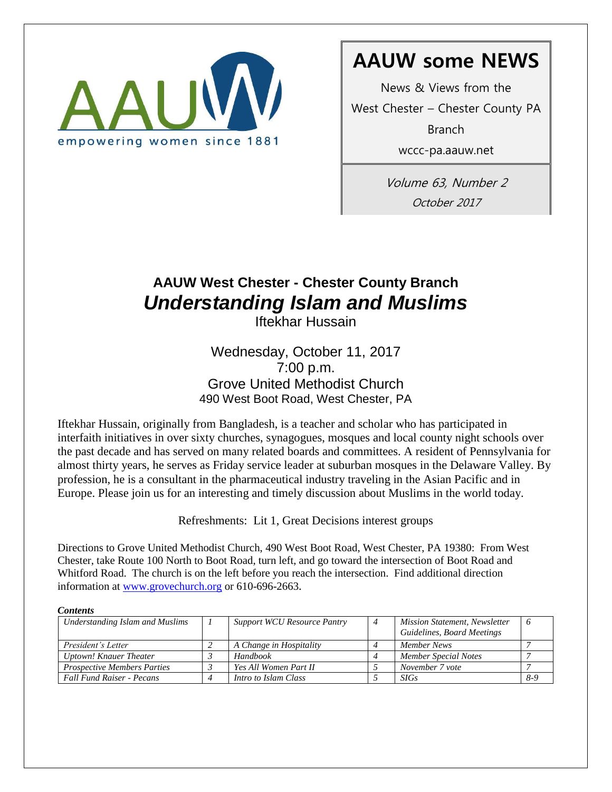

# **AAUW some NEWS**

News & Views from the

West Chester – Chester County PA Branch

wccc-pa.aauw.net

Volume 63, Number 2 October 2017

## **AAUW West Chester - Chester County Branch**  *Understanding Islam and Muslims*

Iftekhar Hussain

Wednesday, October 11, 2017 7:00 p.m. Grove United Methodist Church 490 West Boot Road, West Chester, PA

Iftekhar Hussain, originally from Bangladesh, is a teacher and scholar who has participated in interfaith initiatives in over sixty churches, synagogues, mosques and local county night schools over the past decade and has served on many related boards and committees. A resident of Pennsylvania for almost thirty years, he serves as Friday service leader at suburban mosques in the Delaware Valley. By profession, he is a consultant in the pharmaceutical industry traveling in the Asian Pacific and in Europe. Please join us for an interesting and timely discussion about Muslims in the world today.

Refreshments: Lit 1, Great Decisions interest groups

Directions to Grove United Methodist Church, 490 West Boot Road, West Chester, PA 19380: From West Chester, take Route 100 North to Boot Road, turn left, and go toward the intersection of Boot Road and Whitford Road. The church is on the left before you reach the intersection. Find additional direction information at [www.grovechurch.org](http://www.grovechurch.org/) or 610-696-2663.

| <b>Contents</b>                    |  |                                    |                |                                                                    |     |  |
|------------------------------------|--|------------------------------------|----------------|--------------------------------------------------------------------|-----|--|
| Understanding Islam and Muslims    |  | <b>Support WCU Resource Pantry</b> | $\overline{4}$ | <b>Mission Statement, Newsletter</b><br>Guidelines, Board Meetings |     |  |
| President's Letter                 |  | A Change in Hospitality            |                | Member News                                                        |     |  |
| Uptown! Knauer Theater             |  | <b>Handbook</b>                    |                | Member Special Notes                                               |     |  |
| <b>Prospective Members Parties</b> |  | Yes All Women Part II              |                | November 7 vote                                                    |     |  |
| <b>Fall Fund Raiser - Pecans</b>   |  | Intro to Islam Class               |                | <b>SIGs</b>                                                        | 8-9 |  |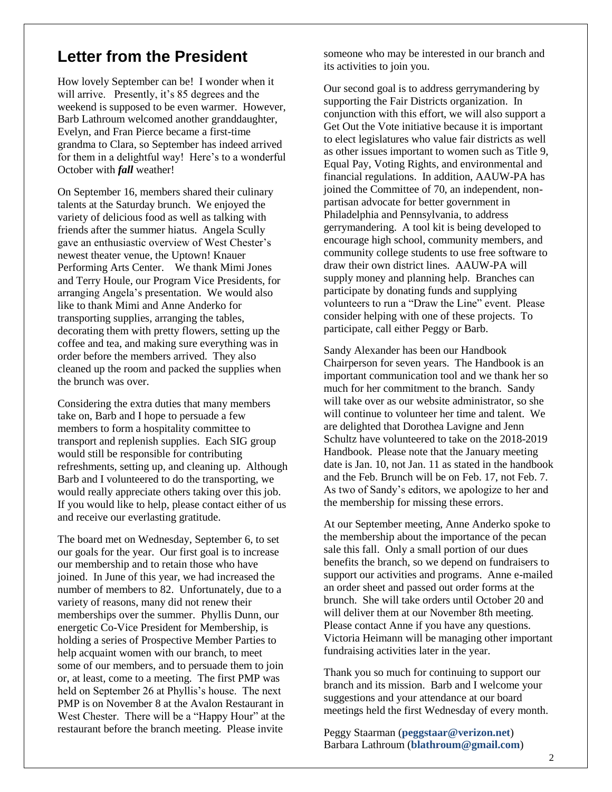### **Letter from the President**

How lovely September can be! I wonder when it will arrive. Presently, it's 85 degrees and the weekend is supposed to be even warmer. However, Barb Lathroum welcomed another granddaughter, Evelyn, and Fran Pierce became a first-time grandma to Clara, so September has indeed arrived for them in a delightful way! Here's to a wonderful October with *fall* weather!

On September 16, members shared their culinary talents at the Saturday brunch. We enjoyed the variety of delicious food as well as talking with friends after the summer hiatus. Angela Scully gave an enthusiastic overview of West Chester's newest theater venue, the Uptown! Knauer Performing Arts Center. We thank Mimi Jones and Terry Houle, our Program Vice Presidents, for arranging Angela's presentation. We would also like to thank Mimi and Anne Anderko for transporting supplies, arranging the tables, decorating them with pretty flowers, setting up the coffee and tea, and making sure everything was in order before the members arrived. They also cleaned up the room and packed the supplies when the brunch was over.

Considering the extra duties that many members take on, Barb and I hope to persuade a few members to form a hospitality committee to transport and replenish supplies. Each SIG group would still be responsible for contributing refreshments, setting up, and cleaning up. Although Barb and I volunteered to do the transporting, we would really appreciate others taking over this job. If you would like to help, please contact either of us and receive our everlasting gratitude.

The board met on Wednesday, September 6, to set our goals for the year. Our first goal is to increase our membership and to retain those who have joined. In June of this year, we had increased the number of members to 82. Unfortunately, due to a variety of reasons, many did not renew their memberships over the summer. Phyllis Dunn, our energetic Co-Vice President for Membership, is holding a series of Prospective Member Parties to help acquaint women with our branch, to meet some of our members, and to persuade them to join or, at least, come to a meeting. The first PMP was held on September 26 at Phyllis's house. The next PMP is on November 8 at the Avalon Restaurant in West Chester. There will be a "Happy Hour" at the restaurant before the branch meeting. Please invite

someone who may be interested in our branch and its activities to join you.

Our second goal is to address gerrymandering by supporting the Fair Districts organization. In conjunction with this effort, we will also support a Get Out the Vote initiative because it is important to elect legislatures who value fair districts as well as other issues important to women such as Title 9, Equal Pay, Voting Rights, and environmental and financial regulations. In addition, AAUW-PA has joined the Committee of 70, an independent, nonpartisan advocate for better government in Philadelphia and Pennsylvania, to address gerrymandering. A tool kit is being developed to encourage high school, community members, and community college students to use free software to draw their own district lines. AAUW-PA will supply money and planning help. Branches can participate by donating funds and supplying volunteers to run a "Draw the Line" event. Please consider helping with one of these projects. To participate, call either Peggy or Barb.

Sandy Alexander has been our Handbook Chairperson for seven years. The Handbook is an important communication tool and we thank her so much for her commitment to the branch. Sandy will take over as our website administrator, so she will continue to volunteer her time and talent. We are delighted that Dorothea Lavigne and Jenn Schultz have volunteered to take on the 2018-2019 Handbook. Please note that the January meeting date is Jan. 10, not Jan. 11 as stated in the handbook and the Feb. Brunch will be on Feb. 17, not Feb. 7. As two of Sandy's editors, we apologize to her and the membership for missing these errors.

At our September meeting, Anne Anderko spoke to the membership about the importance of the pecan sale this fall. Only a small portion of our dues benefits the branch, so we depend on fundraisers to support our activities and programs. Anne e-mailed an order sheet and passed out order forms at the brunch. She will take orders until October 20 and will deliver them at our November 8th meeting. Please contact Anne if you have any questions. Victoria Heimann will be managing other important fundraising activities later in the year.

Thank you so much for continuing to support our branch and its mission. Barb and I welcome your suggestions and your attendance at our board meetings held the first Wednesday of every month.

Peggy Staarman (**[peggstaar@verizon.net](mailto:peggstaar@verizon.net)**) Barbara Lathroum (**blathroum@gmail.com**)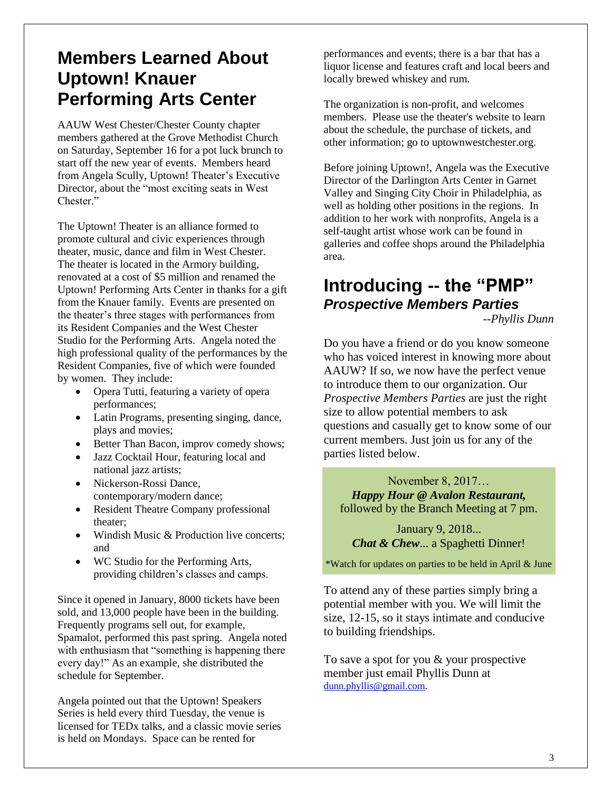## **Members Learned About Uptown! Knauer Performing Arts Center**

AAUW West Chester/Chester County chapter members gathered at the Grove Methodist Church on Saturday, September 16 for a pot luck brunch to start off the new year of events. Members heard from Angela Scully, Uptown! Theater's Executive Director, about the "most exciting seats in West Chester<sup>"</sup>

The Uptown! Theater is an alliance formed to promote cultural and civic experiences through theater, music, dance and film in West Chester. The theater is located in the Armory building, renovated at a cost of \$5 million and renamed the Uptown! Performing Arts Center in thanks for a gift from the Knauer family. Events are presented on the theater's three stages with performances from its Resident Companies and the West Chester Studio for the Performing Arts. Angela noted the high professional quality of the performances by the Resident Companies, five of which were founded by women. They include:

- Opera Tutti, featuring a variety of opera performances;
- Latin Programs, presenting singing, dance, plays and movies;
- Better Than Bacon, improv comedy shows;
- Jazz Cocktail Hour, featuring local and national jazz artists;
- Nickerson-Rossi Dance, contemporary/modern dance;
- Resident Theatre Company professional theater;
- Windish Music & Production live concerts; and
- WC Studio for the Performing Arts, providing children's classes and camps.

Since it opened in January, 8000 tickets have been sold, and 13,000 people have been in the building. Frequently programs sell out, for example, Spamalot, performed this past spring. Angela noted with enthusiasm that "something is happening there every day!" As an example, she distributed the schedule for September.

Angela pointed out that the Uptown! Speakers Series is held every third Tuesday, the venue is licensed for TEDx talks, and a classic movie series is held on Mondays. Space can be rented for

performances and events; there is a bar that has a liquor license and features craft and local beers and locally brewed whiskey and rum.

The organization is non-profit, and welcomes members. Please use the theater's website to learn about the schedule, the purchase of tickets, and other information; go to uptownwestchester.org.

Before joining Uptown!, Angela was the Executive Director of the Darlington Arts Center in Garnet Valley and Singing City Choir in Philadelphia, as well as holding other positions in the regions. In addition to her work with nonprofits, Angela is a self-taught artist whose work can be found in galleries and coffee shops around the Philadelphia area.

## **Introducing -- the "PMP"** *Prospective Members Parties*

*--Phyllis Dunn*

Do you have a friend or do you know someone who has voiced interest in knowing more about AAUW? If so, we now have the perfect venue to introduce them to our organization. Our *Prospective Members Parties* are just the right size to allow potential members to ask questions and casually get to know some of our current members. Just join us for any of the parties listed below.

November 8, 2017… *Happy Hour @ Avalon Restaurant,* followed by the Branch Meeting at 7 pm.

January 9, 2018... *Chat & Chew*... a Spaghetti Dinner!

\*Watch for updates on parties to be held in April & June

To attend any of these parties simply bring a potential member with you. We will limit the size, 12-15, so it stays intimate and conducive to building friendships.

To save a spot for you & your prospective member just email Phyllis Dunn at [dunn.phyllis@gmail.com.](mailto:dunn.phyllis@gmail.com)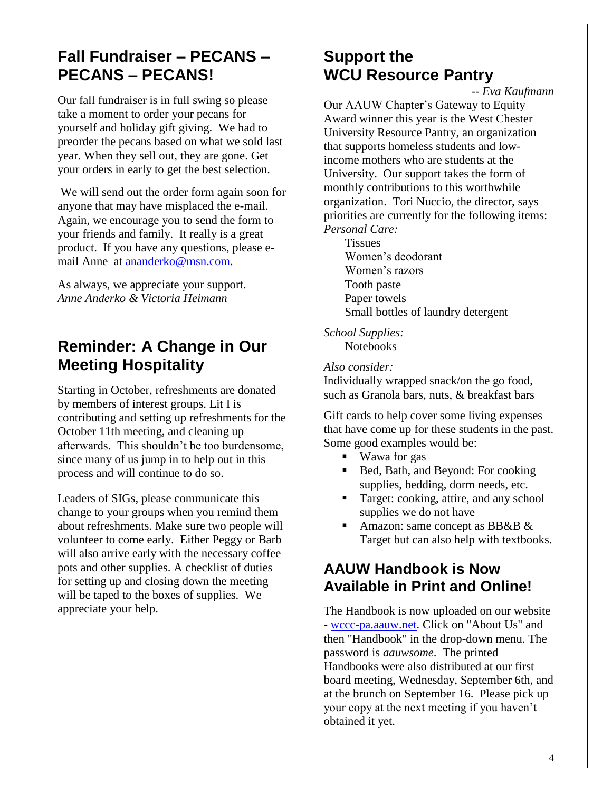## **Fall Fundraiser – PECANS – PECANS – PECANS!**

Our fall fundraiser is in full swing so please take a moment to order your pecans for yourself and holiday gift giving. We had to preorder the pecans based on what we sold last year. When they sell out, they are gone. Get your orders in early to get the best selection.

We will send out the order form again soon for anyone that may have misplaced the e-mail. Again, we encourage you to send the form to your friends and family. It really is a great product. If you have any questions, please email Anne at [ananderko@msn.com.](mailto:ananderko@msn.com)

As always, we appreciate your support. *Anne Anderko & Victoria Heimann*

## **Reminder: A Change in Our Meeting Hospitality**

Starting in October, refreshments are donated by members of interest groups. Lit I is contributing and setting up refreshments for the October 11th meeting, and cleaning up afterwards. This shouldn't be too burdensome, since many of us jump in to help out in this process and will continue to do so.

Leaders of SIGs, please communicate this change to your groups when you remind them about refreshments. Make sure two people will volunteer to come early. Either Peggy or Barb will also arrive early with the necessary coffee pots and other supplies. A checklist of duties for setting up and closing down the meeting will be taped to the boxes of supplies. We appreciate your help.

## **Support the WCU Resource Pantry**

*-- Eva Kaufmann* 

Our AAUW Chapter's Gateway to Equity Award winner this year is the West Chester University Resource Pantry, an organization that supports homeless students and lowincome mothers who are students at the University. Our support takes the form of monthly contributions to this worthwhile organization. Tori Nuccio, the director, says priorities are currently for the following items: *Personal Care:*

**Tissues** Women's deodorant Women's razors Tooth paste Paper towels Small bottles of laundry detergent

*School Supplies:* **Notebooks** 

#### *Also consider:*

Individually wrapped snack/on the go food, such as Granola bars, nuts, & breakfast bars

Gift cards to help cover some living expenses that have come up for these students in the past. Some good examples would be:

- Wawa for gas
- Bed, Bath, and Beyond: For cooking supplies, bedding, dorm needs, etc.
- **Target: cooking, attire, and any school** supplies we do not have
- Amazon: same concept as BB&B & Target but can also help with textbooks.

### **AAUW Handbook is Now Available in Print and Online!**

The Handbook is now uploaded on our website - [wccc-pa.aauw.net.](http://wccc-pa.aauw.net/) Click on "About Us" and then "Handbook" in the drop-down menu. The password is *aauwsome*. The printed Handbooks were also distributed at our first board meeting, Wednesday, September 6th, and at the brunch on September 16. Please pick up your copy at the next meeting if you haven't obtained it yet.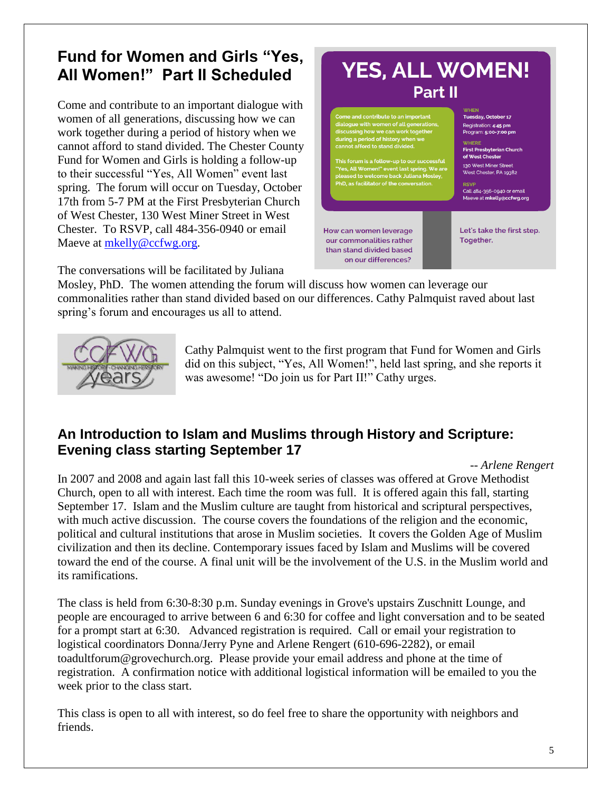## **Fund for Women and Girls "Yes, All Women!" Part II Scheduled**

Come and contribute to an important dialogue with women of all generations, discussing how we can work together during a period of history when we cannot afford to stand divided. The Chester County Fund for Women and Girls is holding a follow-up to their successful "Yes, All Women" event last spring. The forum will occur on Tuesday, October 17th from 5-7 PM at the First Presbyterian Church of West Chester, 130 West Miner Street in West Chester. To RSVP, call 484-356-0940 or email Maeve at [mkelly@ccfwg.org.](mailto:mkelly@ccfwg.org)



The conversations will be facilitated by Juliana

Mosley, PhD. The women attending the forum will discuss how women can leverage our commonalities rather than stand divided based on our differences. Cathy Palmquist raved about last spring's forum and encourages us all to attend.



Cathy Palmquist went to the first program that Fund for Women and Girls did on this subject, "Yes, All Women!", held last spring, and she reports it was awesome! "Do join us for Part II!" Cathy urges.

### **An Introduction to Islam and Muslims through History and Scripture: Evening class starting September 17**

*-- Arlene Rengert*

In 2007 and 2008 and again last fall this 10-week series of classes was offered at Grove Methodist Church, open to all with interest. Each time the room was full. It is offered again this fall, starting September 17. Islam and the Muslim culture are taught from historical and scriptural perspectives, with much active discussion. The course covers the foundations of the religion and the economic, political and cultural institutions that arose in Muslim societies. It covers the Golden Age of Muslim civilization and then its decline. Contemporary issues faced by Islam and Muslims will be covered toward the end of the course. A final unit will be the involvement of the U.S. in the Muslim world and its ramifications.

The class is held from 6:30-8:30 p.m. Sunday evenings in Grove's upstairs Zuschnitt Lounge, and people are encouraged to arrive between 6 and 6:30 for coffee and light conversation and to be seated for a prompt start at 6:30. Advanced registration is required. Call or email your registration to logistical coordinators Donna/Jerry Pyne and Arlene Rengert [\(610-696-2282\)](tel:(610)%20696-2282), or email toadultforum@grovechurch.org. Please provide your email address and phone at the time of registration. A confirmation notice with additional logistical information will be emailed to you the week prior to the class start.

This class is open to all with interest, so do feel free to share the opportunity with neighbors and friends.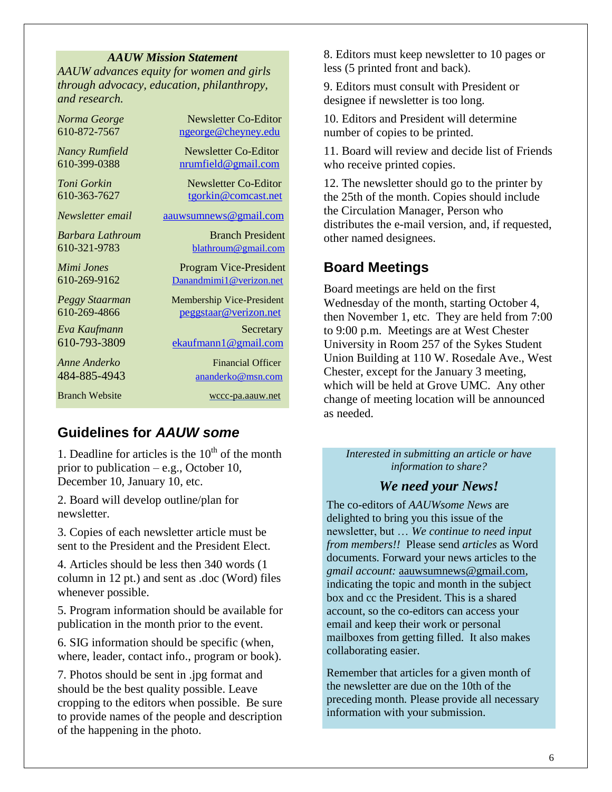#### *AAUW Mission Statement*

*AAUW advances equity for women and girls through advocacy, education, philanthropy, and research.*

| Norma George          | Newsletter Co-Editor             |
|-----------------------|----------------------------------|
| 610-872-7567          | ngeorge@cheyney.edu              |
| <b>Nancy Rumfield</b> | Newsletter Co-Editor             |
| 610-399-0388          | nrumfield@gmail.com              |
| Toni Gorkin           | Newsletter Co-Editor             |
| 610-363-7627          | tgorkin@comcast.net              |
| Newsletter email      | aauwsumnews@gmail.com            |
| Barbara Lathroum      | <b>Branch President</b>          |
| 610-321-9783          | blathroum@gmail.com              |
| Mimi Jones            | <b>Program Vice-President</b>    |
| 610-269-9162          | Danandmimi1@verizon.net          |
| Peggy Staarman        | <b>Membership Vice-President</b> |
| 610-269-4866          | peggstaar@verizon.net            |
| Eva Kaufmann          | Secretary                        |
| 610-793-3809          | ekaufmann1@gmail.com             |
| Anne Anderko          | <b>Financial Officer</b>         |
| 484-885-4943          | ananderko@msn.com                |
| <b>Branch Website</b> | wccc-pa.aauw.net                 |

#### **Guidelines for** *AAUW some*

1. Deadline for articles is the  $10<sup>th</sup>$  of the month prior to publication – e.g., October 10, December 10, January 10, etc.

2. Board will develop outline/plan for newsletter.

3. Copies of each newsletter article must be sent to the President and the President Elect.

4. Articles should be less then 340 words (1 column in 12 pt.) and sent as .doc (Word) files whenever possible.

5. Program information should be available for publication in the month prior to the event.

6. SIG information should be specific (when, where, leader, contact info., program or book).

7. Photos should be sent in .jpg format and should be the best quality possible. Leave cropping to the editors when possible. Be sure to provide names of the people and description of the happening in the photo.

8. Editors must keep newsletter to 10 pages or less (5 printed front and back).

9. Editors must consult with President or designee if newsletter is too long.

10. Editors and President will determine number of copies to be printed.

11. Board will review and decide list of Friends who receive printed copies.

12. The newsletter should go to the printer by the 25th of the month. Copies should include the Circulation Manager, Person who distributes the e-mail version, and, if requested, other named designees.

#### **Board Meetings**

Board meetings are held on the first Wednesday of the month, starting October 4, then November 1, etc. They are held from 7:00 to 9:00 p.m. Meetings are at West Chester University in Room 257 of the Sykes Student Union Building at 110 W. Rosedale Ave., West Chester, except for the January 3 meeting, which will be held at Grove UMC. Any other change of meeting location will be announced as needed.

*Interested in submitting an article or have information to share?*

#### *We need your News!*

The co-editors of *AAUWsome News* are delighted to bring you this issue of the newsletter, but … *We continue to need input from members!!* Please send *articles* as Word documents. Forward your news articles to the *gmail account:* [aauwsumnews@gmail.com,](mailto:aauwsum@gmail.com) indicating the topic and month in the subject box and cc the President. This is a shared account, so the co-editors can access your email and keep their work or personal mailboxes from getting filled. It also makes collaborating easier.

Remember that articles for a given month of the newsletter are due on the 10th of the preceding month*.* Please provide all necessary information with your submission.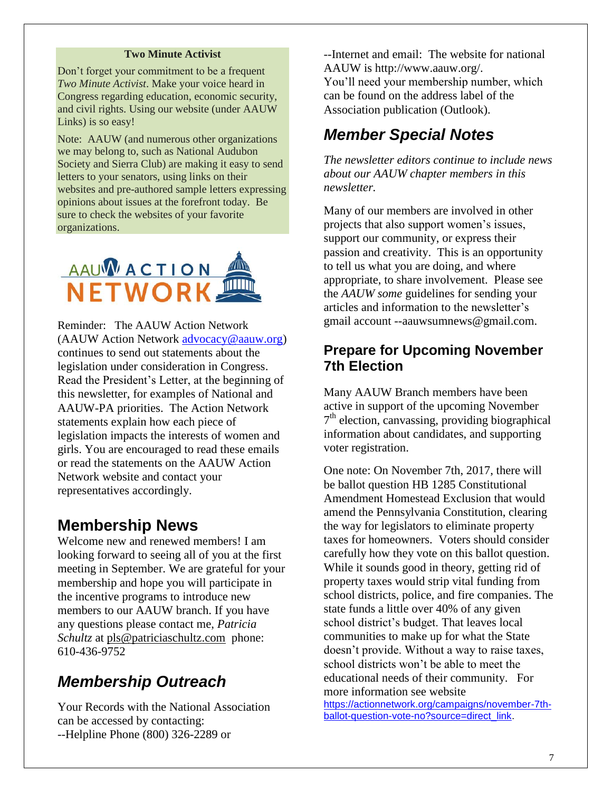#### **Two Minute Activist**

Don't forget your commitment to be a frequent *Two Minute Activist*. Make your voice heard in Congress regarding education, economic security, and civil rights. Using our website (under AAUW Links) is so easy!

Note: AAUW (and numerous other organizations we may belong to, such as National Audubon Society and Sierra Club) are making it easy to send letters to your senators, using links on their websites and pre-authored sample letters expressing opinions about issues at the forefront today. Be sure to check the websites of your favorite organizations.



Reminder: The AAUW Action Network (AAUW Action Network [advocacy@aauw.org\)](mailto:advocacy@aauw.org) continues to send out statements about the legislation under consideration in Congress. Read the President's Letter, at the beginning of this newsletter, for examples of National and AAUW-PA priorities. The Action Network statements explain how each piece of legislation impacts the interests of women and girls. You are encouraged to read these emails or read the statements on the AAUW Action Network website and contact your representatives accordingly.

### **Membership News**

Welcome new and renewed members! I am looking forward to seeing all of you at the first meeting in September. We are grateful for your membership and hope you will participate in the incentive programs to introduce new members to our AAUW branch. If you have any questions please contact me, *Patricia Schultz* at [pls@patriciaschultz.com](mailto:pls@patriciaschultz.com) phone: 610-436-9752

## *Membership Outreach*

Your Records with the National Association can be accessed by contacting: --Helpline Phone (800) 326-2289 or

--Internet and email: The website for national AAUW is http://www.aauw.org/. You'll need your membership number, which can be found on the address label of the Association publication (Outlook).

### *Member Special Notes*

*The newsletter editors continue to include news about our AAUW chapter members in this newsletter.* 

Many of our members are involved in other projects that also support women's issues, support our community, or express their passion and creativity. This is an opportunity to tell us what you are doing, and where appropriate, to share involvement. Please see the *AAUW some* guidelines for sending your articles and information to the newsletter's gmail account --aauwsumnews@gmail.com.

### **Prepare for Upcoming November 7th Election**

Many AAUW Branch members have been active in support of the upcoming November 7<sup>th</sup> election, canvassing, providing biographical information about candidates, and supporting voter registration.

One note: On November 7th, 2017, there will be ballot question [HB 1285 Constitutional](http://www.legis.state.pa.us/cfdocs/billInfo/billInfo.cfm?sYear=2017&sInd=0&body=H&type=B&bn=1285)  [Amendment Homestead Exclusion](http://www.legis.state.pa.us/cfdocs/billInfo/billInfo.cfm?sYear=2017&sInd=0&body=H&type=B&bn=1285) that would amend the Pennsylvania Constitution, clearing the way for legislators to eliminate property taxes for homeowners. Voters should consider carefully how they vote on this ballot question. While it sounds good in theory, getting rid of property taxes would strip vital funding from school districts, police, and fire companies. The state funds a little over 40% of any given school district's budget. That leaves local communities to make up for what the State doesn't provide. Without a way to raise taxes, school districts won't be able to meet the educational needs of their community. For more information see website

[https://actionnetwork.org/campaigns/november-7th](https://actionnetwork.org/campaigns/november-7th-ballot-question-vote-no?source=direct_link)[ballot-question-vote-no?source=direct\\_link.](https://actionnetwork.org/campaigns/november-7th-ballot-question-vote-no?source=direct_link)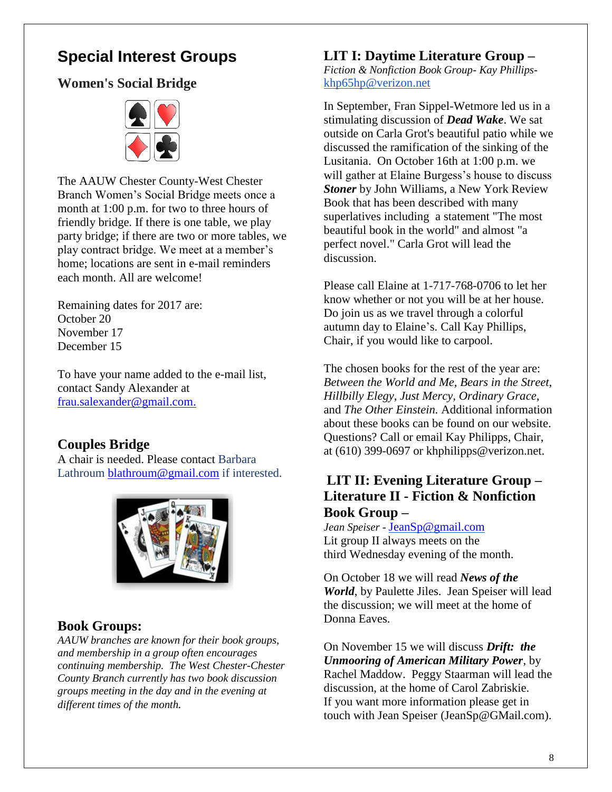## **Special Interest Groups**

### **Women's Social Bridge**



The AAUW Chester County-West Chester Branch Women's Social Bridge meets once a month at 1:00 p.m. for two to three hours of friendly bridge. If there is one table, we play party bridge; if there are two or more tables, we play contract bridge. We meet at a member's home; locations are sent in e-mail reminders each month. All are welcome!

Remaining dates for 2017 are: October 20 November 17 December 15

To have your name added to the e-mail list, contact Sandy Alexander at [frau.salexander@gmail.com.](mailto:frau.salexander@gmail.com)

#### **Couples Bridge**

A chair is needed. Please contact Barbara Lathroum [blathroum@gmail.com](mailto:blathroum@gmail.com) if interested.



#### **Book Groups:**

*AAUW branches are known for their book groups, and membership in a group often encourages continuing membership. The West Chester-Chester County Branch currently has two book discussion groups meeting in the day and in the evening at different times of the month.* 

#### **LIT I: Daytime Literature Group –**

*Fiction & Nonfiction Book Group- Kay Phillips*[khp65hp@verizon.net](mailto:khp65hp@verizon.net)

In September, Fran Sippel-Wetmore led us in a stimulating discussion of *Dead Wake*. We sat outside on Carla Grot's beautiful patio while we discussed the ramification of the sinking of the Lusitania. On October 16th at 1:00 p.m. we will gather at Elaine Burgess's house to discuss *Stoner* by John Williams, a New York Review Book that has been described with many superlatives including a statement "The most beautiful book in the world" and almost "a perfect novel." Carla Grot will lead the discussion.

Please call Elaine at [1-717-768-0706](tel:(717)%20768-0706) to let her know whether or not you will be at her house. Do join us as we travel through a colorful autumn day to Elaine's. Call Kay Phillips, Chair, if you would like to carpool.

The chosen books for the rest of the year are: *Between the World and Me, Bears in the Street, Hillbilly Elegy, Just Mercy, Ordinary Grace,*  and *The Other Einstein.* Additional information about these books can be found on our website. Questions? Call or email Kay Philipps, Chair, at (610) 399-0697 or khphilipps@verizon.net.

### **LIT II: Evening Literature Group – Literature II - Fiction & Nonfiction Book Group –**

*Jean Speiser -* [JeanSp@gmail.com](mailto:JeanSp@gmail.com) Lit group II always meets on the third Wednesday evening of the month.

On October 18 we will read *News of the World*, by Paulette Jiles. Jean Speiser will lead the discussion; we will meet at the home of Donna Eaves.

On November 15 we will discuss *Drift: the Unmooring of American Military Power*, by Rachel Maddow. Peggy Staarman will lead the discussion, at the home of Carol Zabriskie. If you want more information please get in touch with Jean Speiser (JeanSp@GMail.com).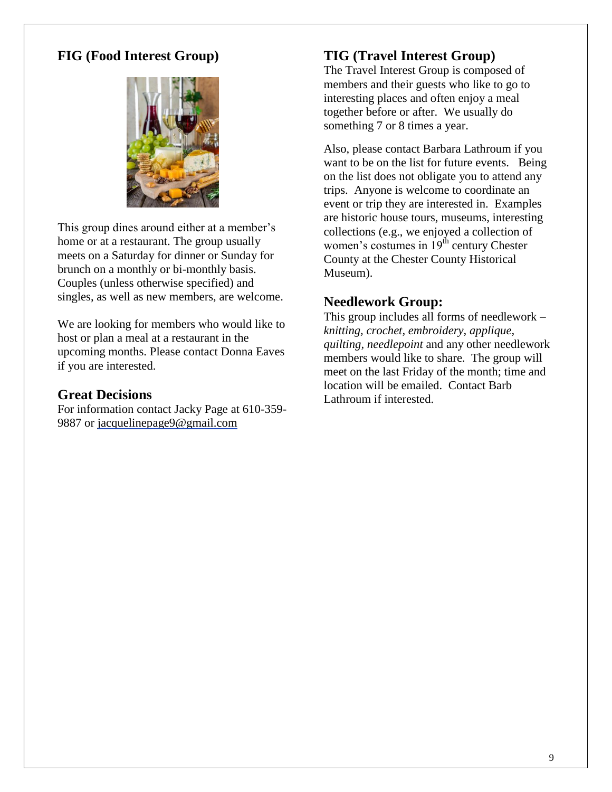### **FIG (Food Interest Group)**



This group dines around either at a member's home or at a restaurant. The group usually meets on a Saturday for dinner or Sunday for brunch on a monthly or bi-monthly basis. Couples (unless otherwise specified) and singles, as well as new members, are welcome.

We are looking for members who would like to host or plan a meal at a restaurant in the upcoming months. Please contact Donna Eaves if you are interested.

#### **Great Decisions**

For information contact Jacky Page at 610-359- 9887 or [jacquelinepage9@gmail.com](mailto:jacquelinepage9@gmail.com)

### **TIG (Travel Interest Group)**

The Travel Interest Group is composed of members and their guests who like to go to interesting places and often enjoy a meal together before or after. We usually do something 7 or 8 times a year.

Also, please contact Barbara Lathroum if you want to be on the list for future events. Being on the list does not obligate you to attend any trips. Anyone is welcome to coordinate an event or trip they are interested in. Examples are historic house tours, museums, interesting collections (e.g., we enjoyed a collection of women's costumes in  $19<sup>th</sup>$  century Chester County at the Chester County Historical Museum).

### **Needlework Group:**

This group includes all forms of needlework – *knitting, crochet, embroidery, applique, quilting, needlepoint* and any other needlework members would like to share. The group will meet on the last Friday of the month; time and location will be emailed. Contact Barb Lathroum if interested.